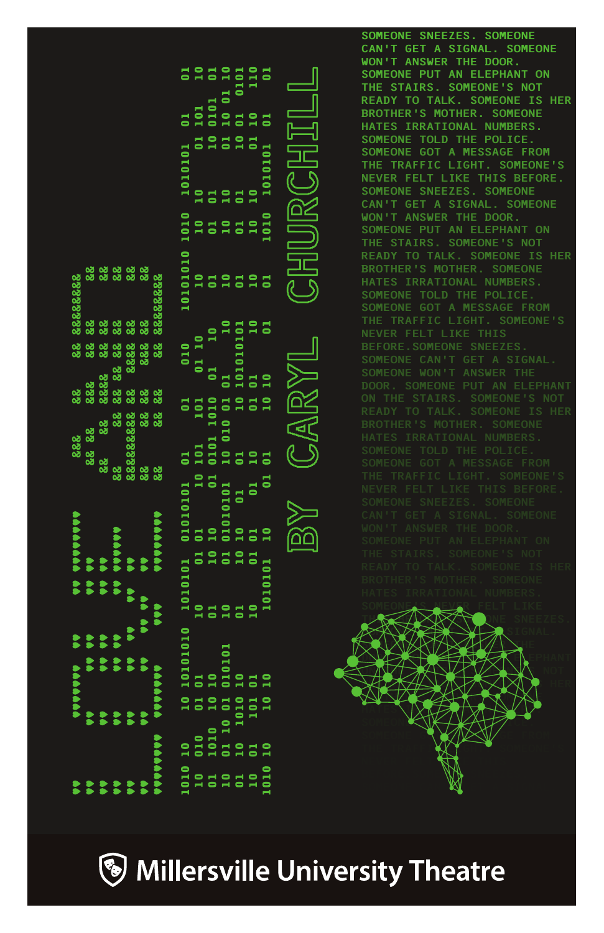|                  |                  |                  |                      |         | <b>Ananana</b> |                 |                | 888                         | 88<br>88 |                                 |                          |                                            |       |                 |        |                                                                                    |  |
|------------------|------------------|------------------|----------------------|---------|----------------|-----------------|----------------|-----------------------------|----------|---------------------------------|--------------------------|--------------------------------------------|-------|-----------------|--------|------------------------------------------------------------------------------------|--|
|                  |                  |                  |                      |         |                |                 |                |                             |          |                                 |                          | 82 82828282<br>82 82<br>82 82              |       |                 |        |                                                                                    |  |
|                  |                  |                  | $\ddot{\phantom{1}}$ |         |                |                 |                |                             |          |                                 |                          |                                            |       |                 |        |                                                                                    |  |
|                  |                  |                  |                      |         |                |                 | 88             | 88                          |          | 88 88 88<br>888 888<br>88 88 88 | 88                       |                                            |       |                 |        |                                                                                    |  |
|                  |                  |                  |                      |         |                |                 |                | 28.                         | ್ದ<br>ಜ  | 8888                            | 88<br>88                 | 8<br>8<br>8 8 8 8 8 8<br>8                 |       |                 |        |                                                                                    |  |
|                  |                  |                  |                      |         |                |                 | 82<br>82<br>82 |                             | 88<br>88 | 288                             | 88                       |                                            |       |                 |        |                                                                                    |  |
| <b>Adaptable</b> |                  |                  |                      |         |                | <b>AAAAAAAA</b> |                | 82<br>82<br>82              | ಜ್ಞ      | 88                              |                          |                                            |       |                 |        |                                                                                    |  |
| 1010             |                  | $\frac{1}{2}$    |                      | 0101010 | 1010101        | 01010101        |                |                             | -<br>5   | 010                             |                          |                                            | 1010  | 1010101         | -<br>3 | $\frac{1}{2}$                                                                      |  |
| $\overline{a}$   | $\overline{010}$ |                  |                      |         | $\overline{a}$ |                 | 101            |                             |          |                                 |                          |                                            |       |                 |        |                                                                                    |  |
| $\overline{a}$   | 1010             |                  |                      |         | $\mathbf{R}$   |                 | 0101           | 1010                        |          |                                 |                          |                                            | 25252 | $\frac{1}{2}$   |        | $\begin{array}{cc} 101 & 10 \\ 0101 & 01 \\ 10 & 01 & 10 \\ 01 & 0101 \end{array}$ |  |
| 10<br>01         |                  | 10 01 11         |                      |         |                |                 |                | 10 010 01 01<br>01 10 10 10 |          |                                 |                          |                                            |       | $\overline{10}$ |        |                                                                                    |  |
|                  |                  |                  |                      |         | $\mathbf{S}$   |                 |                |                             |          |                                 |                          |                                            |       | 525             |        |                                                                                    |  |
| $\overline{10}$  |                  | $\frac{10}{101}$ |                      |         | ដ              |                 |                |                             |          |                                 |                          | $\begin{array}{c} 2 \\ 0 \\ 1 \end{array}$ |       |                 |        |                                                                                    |  |
| 1010             |                  | $\overline{10}$  |                      |         |                | $\frac{1}{2}$   |                |                             |          |                                 | $\overline{\phantom{0}}$ |                                            | 1010  |                 | ă      | $\overline{\mathbf{0}}$                                                            |  |

SOMEONE SNEEZES. SOMEONE CAN'T GET A SIGNAL. SOMEONE WON'T ANSWER THE DOOR. SOMEONE PUT AN ELEPHANT ON THE STAIRS. SOMEONE'S NOT READY TO TALK. SOMEONE IS HER BROTHER'S MOTHER. SOMEONE HATES IRRATIONAL NUMBERS. SOMEONE TOLD THE POLICE. SOMEONE GOT A MESSAGE FROM THE TRAFFIC LIGHT. SOMEONE'S NEVER FELT LIKE THIS BEFORE. SOMEONE SNEEZES. SOMEONE CAN'T GET A SIGNAL. SOMEONE WON'T ANSWER THE DOOR. BROTHER'S MOTHER. SOMEONE HATES IRRATIONAL NUMBERS. SOMEONE TOLD THE POLICE. SOMEONE GOT A MESSAGE FROM THE TRAFFIC LIGHT. SOMEONE'S READY TO TALK. SOMEONE IS HER SOMEONE<mark>is Neve</mark>r felt like



THIS BEFORE AND THE SNEEZES. O KANYE CAN TENAL

DOOR. SOMEONE PUT AN ELEPHANT

**Whiles Andruille University Theatre** 

 $CARVI$ 

 $\overleftarrow{\text{pp}}$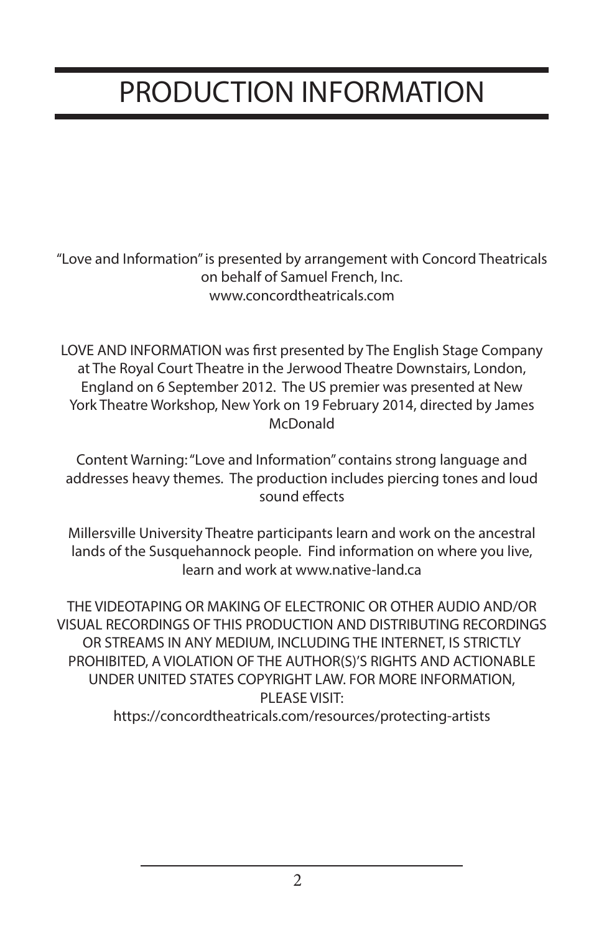# PRODUCTION INFORMATION

"Love and Information" is presented by arrangement with Concord Theatricals on behalf of Samuel French, Inc. www.concordtheatricals.com

LOVE AND INFORMATION was first presented by The English Stage Company at The Royal Court Theatre in the Jerwood Theatre Downstairs, London, England on 6 September 2012. The US premier was presented at New York Theatre Workshop, New York on 19 February 2014, directed by James McDonald

Content Warning: "Love and Information" contains strong language and addresses heavy themes. The production includes piercing tones and loud sound effects

Millersville University Theatre participants learn and work on the ancestral lands of the Susquehannock people. Find information on where you live, learn and work at www.native-land.ca

THE VIDEOTAPING OR MAKING OF ELECTRONIC OR OTHER AUDIO AND/OR VISUAL RECORDINGS OF THIS PRODUCTION AND DISTRIBUTING RECORDINGS OR STREAMS IN ANY MEDIUM, INCLUDING THE INTERNET, IS STRICTLY PROHIBITED, A VIOLATION OF THE AUTHOR(S)'S RIGHTS AND ACTIONABLE UNDER UNITED STATES COPYRIGHT LAW. FOR MORE INFORMATION, PI FASE VISIT:

https://concordtheatricals.com/resources/protecting-artists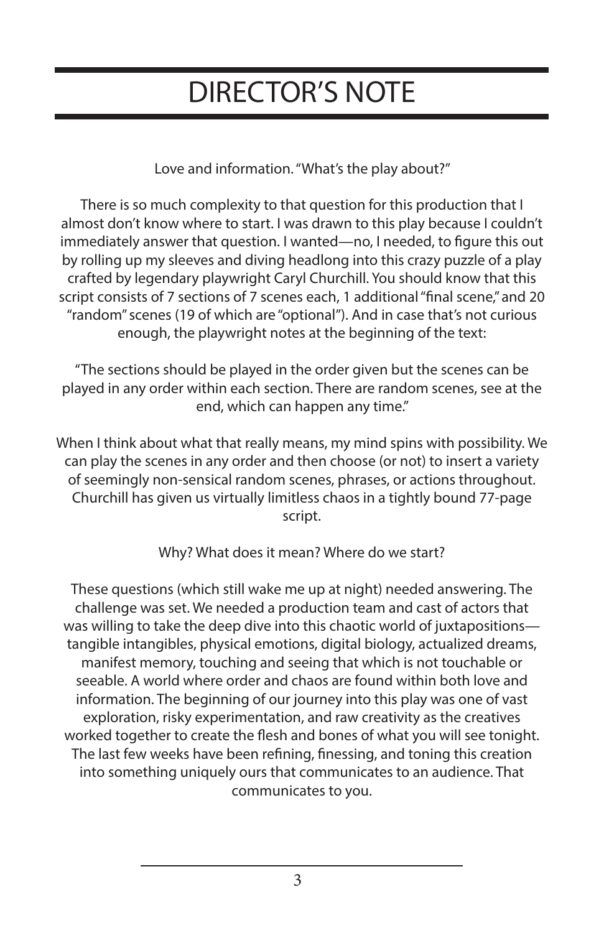### DIRECTOR'S NOTE

Love and information. "What's the play about?"

There is so much complexity to that question for this production that I almost don't know where to start. I was drawn to this play because I couldn't immediately answer that question. I wanted—no, I needed, to figure this out by rolling up my sleeves and diving headlong into this crazy puzzle of a play crafted by legendary playwright Caryl Churchill. You should know that this script consists of 7 sections of 7 scenes each, 1 additional "final scene," and 20 "random" scenes (19 of which are "optional"). And in case that's not curious enough, the playwright notes at the beginning of the text:

"The sections should be played in the order given but the scenes can be played in any order within each section. There are random scenes, see at the end, which can happen any time."

When I think about what that really means, my mind spins with possibility. We can play the scenes in any order and then choose (or not) to insert a variety of seemingly non-sensical random scenes, phrases, or actions throughout. Churchill has given us virtually limitless chaos in a tightly bound 77-page script.

Why? What does it mean? Where do we start?

These questions (which still wake me up at night) needed answering. The challenge was set. We needed a production team and cast of actors that was willing to take the deep dive into this chaotic world of juxtapositions tangible intangibles, physical emotions, digital biology, actualized dreams, manifest memory, touching and seeing that which is not touchable or seeable. A world where order and chaos are found within both love and information. The beginning of our journey into this play was one of vast exploration, risky experimentation, and raw creativity as the creatives worked together to create the flesh and bones of what you will see tonight. The last few weeks have been refining, finessing, and toning this creation into something uniquely ours that communicates to an audience. That communicates to you.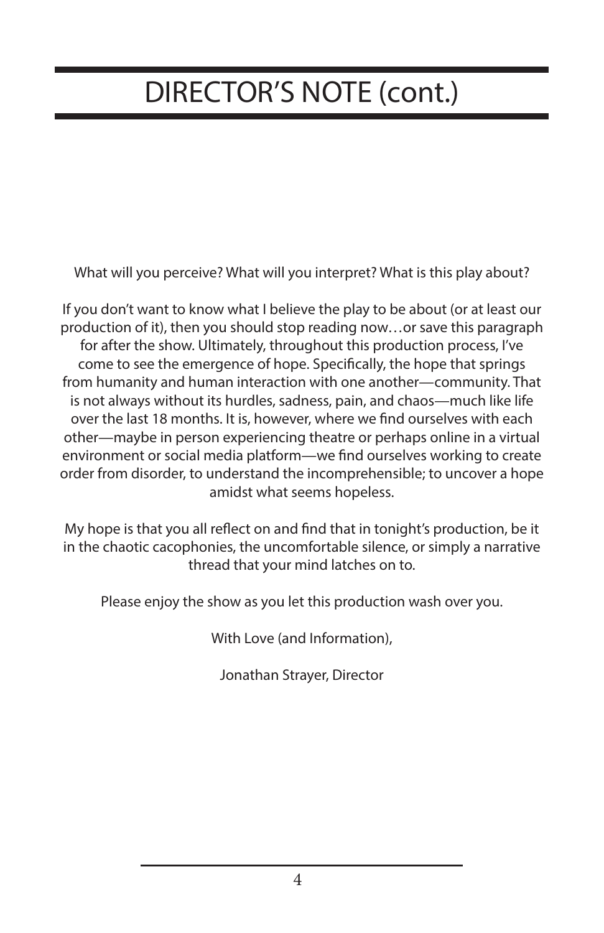### DIRECTOR'S NOTE (cont.)

What will you perceive? What will you interpret? What is this play about?

If you don't want to know what I believe the play to be about (or at least our production of it), then you should stop reading now…or save this paragraph for after the show. Ultimately, throughout this production process, I've come to see the emergence of hope. Specifically, the hope that springs from humanity and human interaction with one another—community. That is not always without its hurdles, sadness, pain, and chaos—much like life over the last 18 months. It is, however, where we find ourselves with each other—maybe in person experiencing theatre or perhaps online in a virtual environment or social media platform—we find ourselves working to create order from disorder, to understand the incomprehensible; to uncover a hope amidst what seems hopeless.

My hope is that you all reflect on and find that in tonight's production, be it in the chaotic cacophonies, the uncomfortable silence, or simply a narrative thread that your mind latches on to.

Please enjoy the show as you let this production wash over you.

With Love (and Information),

Jonathan Strayer, Director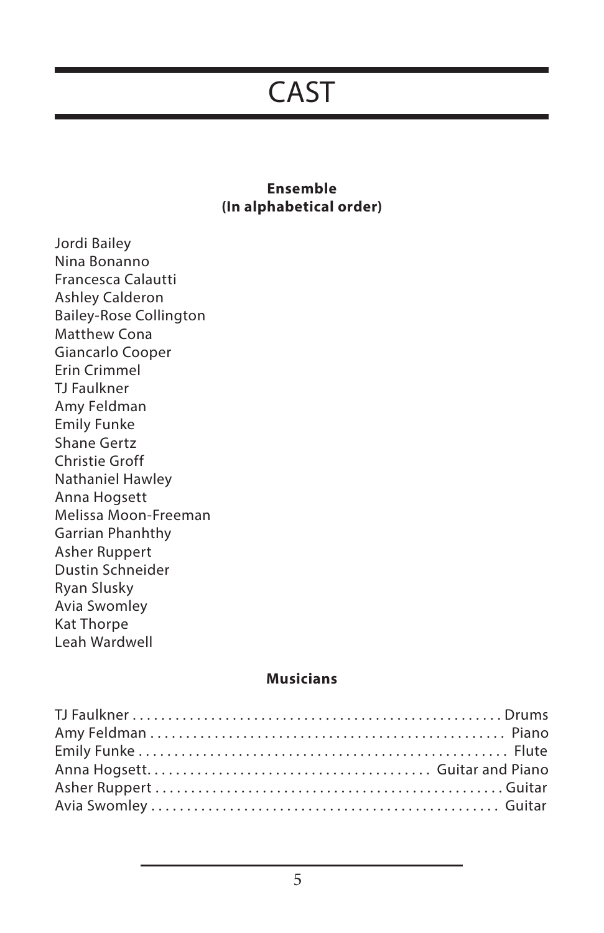#### CAST

#### **Ensemble (In alphabetical order)**

Jordi Bailey Nina Bonanno Francesca Calautti Ashley Calderon Bailey-Rose Collington Matthew Cona Giancarlo Cooper Erin Crimmel TJ Faulkner Amy Feldman Emily Funke Shane Gertz Christie Groff Nathaniel Hawley Anna Hogsett Melissa Moon-Freeman Garrian Phanhthy Asher Ruppert Dustin Schneider Ryan Slusky Avia Swomley Kat Thorpe Leah Wardwell

#### **Musicians**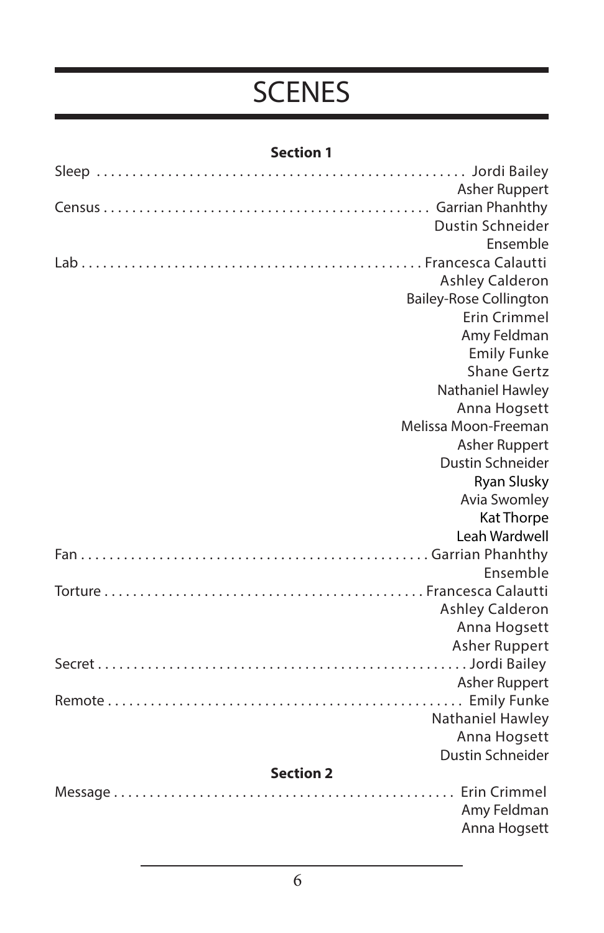### SCENES

|--|

|                  | Asher Ruppert                 |
|------------------|-------------------------------|
|                  |                               |
|                  | Dustin Schneider              |
|                  | Ensemble                      |
|                  |                               |
|                  | <b>Ashley Calderon</b>        |
|                  | <b>Bailey-Rose Collington</b> |
|                  | <b>Erin Crimmel</b>           |
|                  | Amy Feldman                   |
|                  | <b>Emily Funke</b>            |
|                  | <b>Shane Gertz</b>            |
|                  | Nathaniel Hawley              |
|                  | Anna Hogsett                  |
|                  | Melissa Moon-Freeman          |
|                  | <b>Asher Ruppert</b>          |
|                  | Dustin Schneider              |
|                  | <b>Ryan Slusky</b>            |
|                  | <b>Avia Swomley</b>           |
|                  | Kat Thorpe                    |
|                  | Leah Wardwell                 |
|                  |                               |
|                  | Ensemble                      |
|                  |                               |
|                  | <b>Ashley Calderon</b>        |
|                  | Anna Hogsett                  |
|                  | Asher Ruppert                 |
|                  |                               |
|                  | Asher Ruppert                 |
|                  | Nathaniel Hawley              |
|                  | Anna Hogsett                  |
|                  | Dustin Schneider              |
| <b>Section 2</b> |                               |
|                  |                               |
|                  | Amy Feldman                   |
|                  | Anna Hogsett                  |
|                  |                               |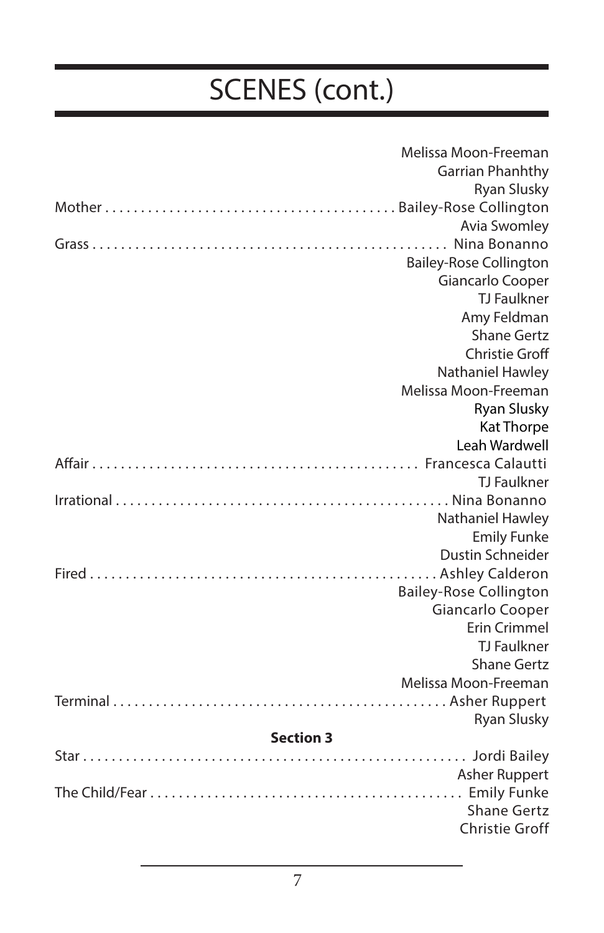|                  | Melissa Moon-Freeman          |
|------------------|-------------------------------|
|                  | Garrian Phanhthy              |
|                  | <b>Ryan Slusky</b>            |
|                  |                               |
|                  | <b>Avia Swomley</b>           |
|                  | Nina Bonanno                  |
|                  | <b>Bailey-Rose Collington</b> |
|                  | Giancarlo Cooper              |
|                  | <b>TJ Faulkner</b>            |
|                  | Amy Feldman                   |
|                  | <b>Shane Gertz</b>            |
|                  | <b>Christie Groff</b>         |
|                  | Nathaniel Hawley              |
|                  | Melissa Moon-Freeman          |
|                  | <b>Ryan Slusky</b>            |
|                  | Kat Thorpe                    |
|                  | Leah Wardwell                 |
|                  |                               |
|                  | <b>TJ Faulkner</b>            |
|                  |                               |
|                  | Nathaniel Hawley              |
|                  | <b>Emily Funke</b>            |
|                  | Dustin Schneider              |
|                  |                               |
|                  | <b>Bailey-Rose Collington</b> |
|                  | Giancarlo Cooper              |
|                  | <b>Erin Crimmel</b>           |
|                  | <b>TJ Faulkner</b>            |
|                  | <b>Shane Gertz</b>            |
|                  | Melissa Moon-Freeman          |
|                  |                               |
|                  | <b>Ryan Slusky</b>            |
| <b>Section 3</b> |                               |
|                  |                               |
|                  | <b>Asher Ruppert</b>          |
|                  |                               |
|                  | <b>Shane Gertz</b>            |
|                  | <b>Christie Groff</b>         |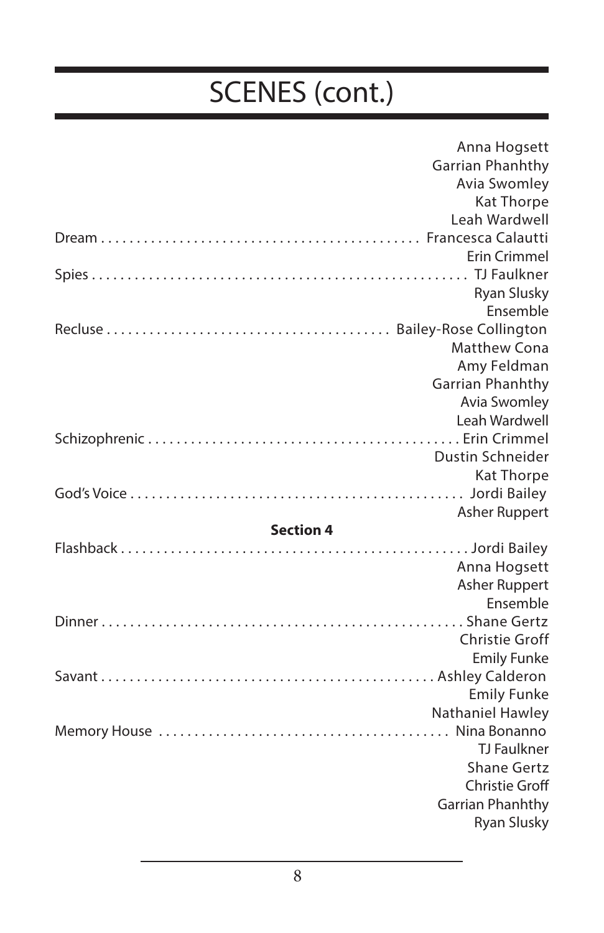|                  | Anna Hogsett                           |
|------------------|----------------------------------------|
|                  | Garrian Phanhthy                       |
|                  | Avia Swomley                           |
|                  | Kat Thorpe                             |
|                  | Leah Wardwell                          |
|                  |                                        |
|                  | <b>Erin Crimmel</b>                    |
|                  |                                        |
|                  | <b>Ryan Slusky</b>                     |
|                  | Ensemble                               |
|                  |                                        |
|                  | <b>Matthew Cona</b>                    |
|                  | Amy Feldman                            |
|                  | <b>Garrian Phanhthy</b>                |
|                  | Avia Swomley                           |
|                  | Leah Wardwell                          |
|                  |                                        |
|                  | Dustin Schneider                       |
|                  | Kat Thorpe                             |
|                  |                                        |
|                  | Asher Ruppert                          |
| <b>Section 4</b> |                                        |
|                  |                                        |
|                  | Anna Hogsett                           |
|                  | <b>Asher Ruppert</b>                   |
|                  | Ensemble                               |
|                  |                                        |
|                  | <b>Christie Groff</b>                  |
|                  | <b>Emily Funke</b>                     |
|                  |                                        |
|                  | <b>Emily Funke</b>                     |
|                  | Nathaniel Hawley                       |
|                  |                                        |
|                  | <b>TJ Faulkner</b>                     |
|                  | <b>Shane Gertz</b>                     |
|                  | <b>Christie Groff</b>                  |
|                  |                                        |
|                  | Garrian Phanhthy<br><b>Ryan Slusky</b> |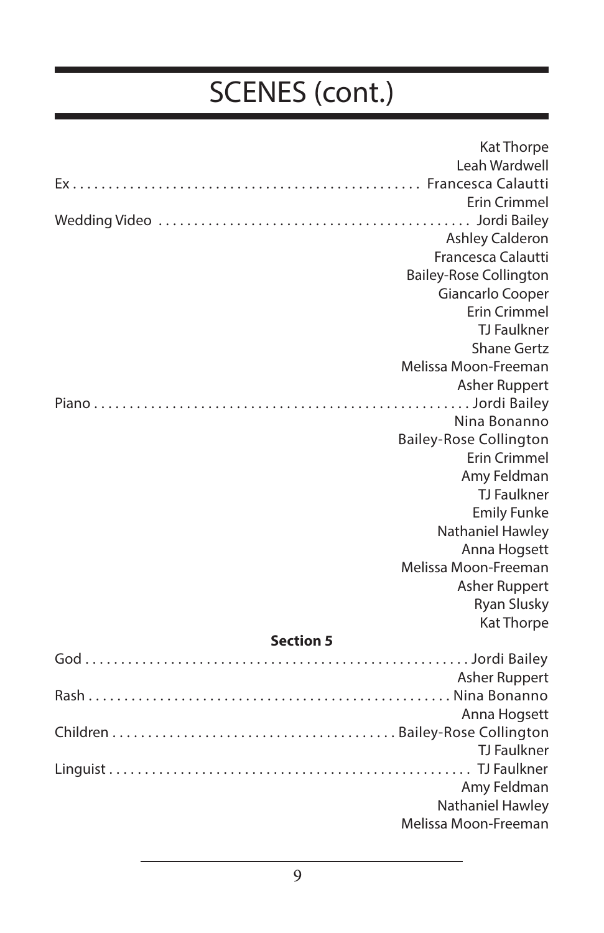|                  | Kat Thorpe                    |
|------------------|-------------------------------|
|                  | Leah Wardwell                 |
|                  |                               |
|                  | <b>Erin Crimmel</b>           |
|                  |                               |
|                  | <b>Ashley Calderon</b>        |
|                  | Francesca Calautti            |
|                  | <b>Bailey-Rose Collington</b> |
|                  | Giancarlo Cooper              |
|                  | <b>Erin Crimmel</b>           |
|                  | <b>TJ Faulkner</b>            |
|                  | Shane Gertz                   |
|                  | Melissa Moon-Freeman          |
|                  | <b>Asher Ruppert</b>          |
|                  |                               |
|                  | Nina Bonanno                  |
|                  | <b>Bailey-Rose Collington</b> |
|                  | <b>Erin Crimmel</b>           |
|                  | Amy Feldman                   |
|                  | <b>TJ Faulkner</b>            |
|                  | <b>Emily Funke</b>            |
|                  | Nathaniel Hawley              |
|                  | Anna Hogsett                  |
|                  | Melissa Moon-Freeman          |
|                  | <b>Asher Ruppert</b>          |
|                  | Ryan Slusky                   |
|                  | <b>Kat Thorpe</b>             |
| <b>Section 5</b> |                               |
|                  |                               |
|                  | Asher Ruppert                 |
|                  |                               |
|                  | Anna Hogsett                  |
|                  | <b>TJ</b> Faulkner            |
|                  |                               |
|                  | Amy Feldman                   |
|                  | Nathaniel Hawley              |
|                  | Melissa Moon-Freeman          |
|                  |                               |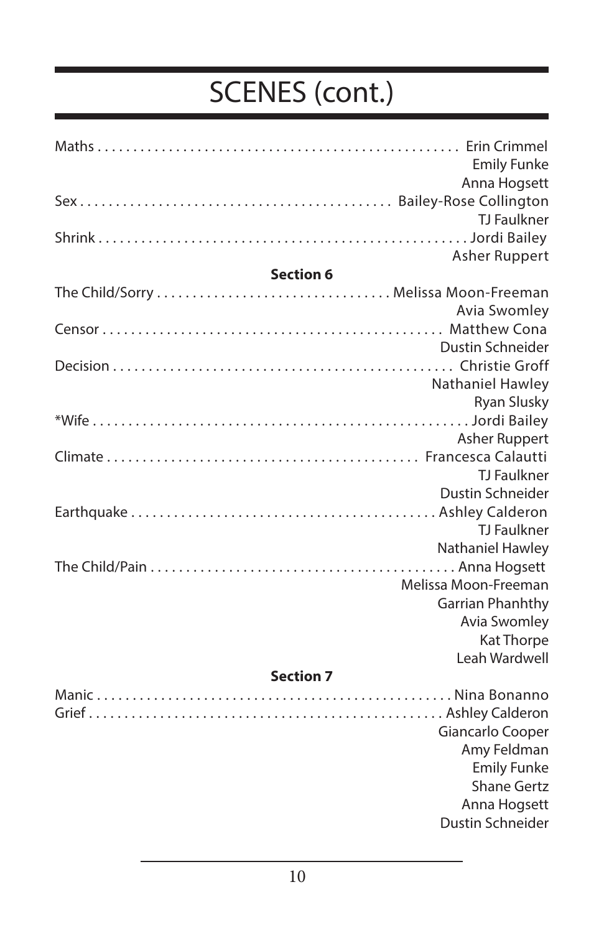|                  | <b>Emily Funke</b>   |
|------------------|----------------------|
|                  | Anna Hogsett         |
|                  |                      |
|                  | <b>TJ Faulkner</b>   |
|                  |                      |
|                  | Asher Ruppert        |
| <b>Section 6</b> |                      |
|                  |                      |
|                  | Avia Swomley         |
|                  |                      |
|                  | Dustin Schneider     |
|                  |                      |
|                  | Nathaniel Hawley     |
|                  | <b>Ryan Slusky</b>   |
|                  |                      |
|                  | <b>Asher Ruppert</b> |
|                  |                      |
|                  | <b>TJ Faulkner</b>   |
|                  | Dustin Schneider     |
|                  |                      |
|                  | <b>TJ Faulkner</b>   |
|                  | Nathaniel Hawley     |
|                  |                      |
|                  | Melissa Moon-Freeman |
|                  | Garrian Phanhthy     |
|                  | Avia Swomley         |
|                  | Kat Thorpe           |
|                  | Leah Wardwell        |
| <b>Section 7</b> |                      |

#### Manic . . . . . . . . . . . . . . . . . . . . . . . . . . . . . . . . . . . . . . . . . . . . . . . . . . Nina Bonanno Grief . . . . . . . . . . . . . . . . . . . . . . . . . . . . . . . . . . . . . . . . . . . . . . . . . . Ashley Calderon Giancarlo Cooper Amy Feldman Emily Funke Shane Gertz Anna Hogsett Dustin Schneider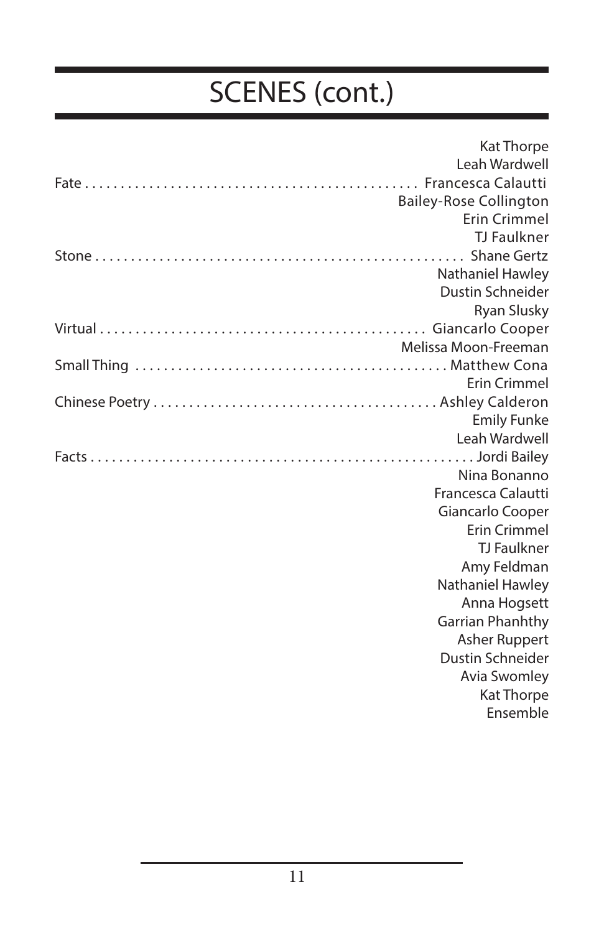| Kat Thorpe                               |
|------------------------------------------|
| Leah Wardwell                            |
|                                          |
| <b>Bailey-Rose Collington</b>            |
| Erin Crimmel                             |
| <b>TJ Faulkner</b>                       |
|                                          |
| Nathaniel Hawley                         |
| Dustin Schneider                         |
| Ryan Slusky                              |
|                                          |
| Melissa Moon-Freeman                     |
|                                          |
| Frin Crimmel                             |
|                                          |
| <b>Emily Funke</b>                       |
| Leah Wardwell                            |
|                                          |
| Nina Bonanno                             |
| Francesca Calautti                       |
| Giancarlo Cooper                         |
| <b>Erin Crimmel</b>                      |
| <b>TJ</b> Faulkner                       |
| Amy Feldman                              |
| Nathaniel Hawley                         |
| Anna Hogsett                             |
| Garrian Phanhthy                         |
| <b>Asher Ruppert</b><br>Dustin Schneider |
| <b>Avia Swomley</b>                      |
| Kat Thorpe                               |
| Ensemble                                 |
|                                          |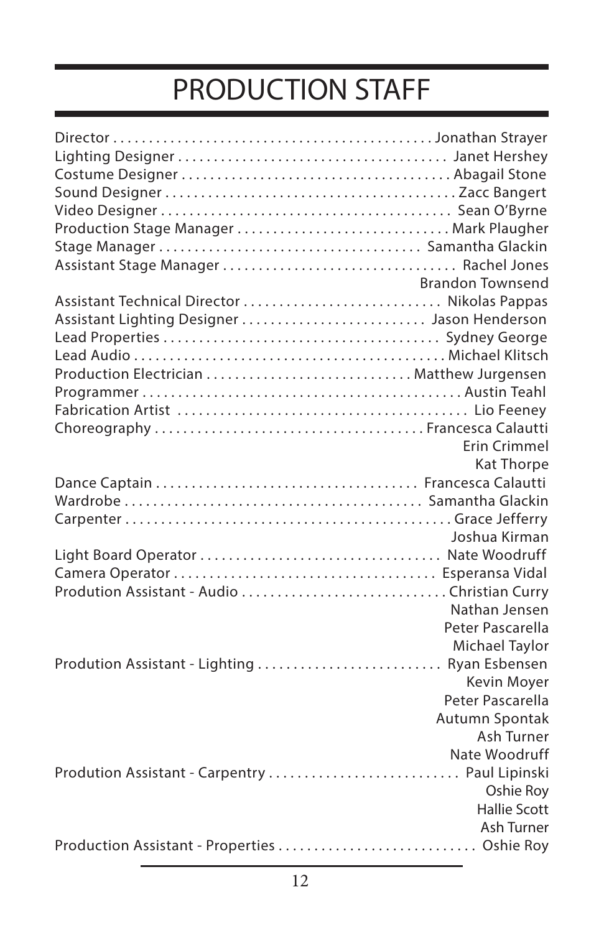### PRODUCTION STAFF

| Production Stage Manager  Mark Plaugher        |                         |
|------------------------------------------------|-------------------------|
|                                                |                         |
|                                                |                         |
|                                                | <b>Brandon Townsend</b> |
|                                                |                         |
| Assistant Lighting Designer  Jason Henderson   |                         |
|                                                |                         |
|                                                |                         |
|                                                |                         |
|                                                |                         |
|                                                |                         |
|                                                |                         |
|                                                | <b>Erin Crimmel</b>     |
|                                                | <b>Kat Thorpe</b>       |
|                                                |                         |
|                                                |                         |
|                                                |                         |
|                                                | Joshua Kirman           |
|                                                |                         |
|                                                |                         |
|                                                |                         |
|                                                | Nathan Jensen           |
|                                                | Peter Pascarella        |
|                                                | Michael Taylor          |
| Prodution Assistant - Lighting  Ryan Esbensen  |                         |
|                                                | Kevin Moyer             |
|                                                | Peter Pascarella        |
|                                                | Autumn Spontak          |
|                                                | Ash Turner              |
|                                                | Nate Woodruff           |
| Prodution Assistant - Carpentry  Paul Lipinski |                         |
|                                                | Oshie Roy               |
|                                                | <b>Hallie Scott</b>     |
|                                                | Ash Turner              |
| Production Assistant - Properties  Oshie Roy   |                         |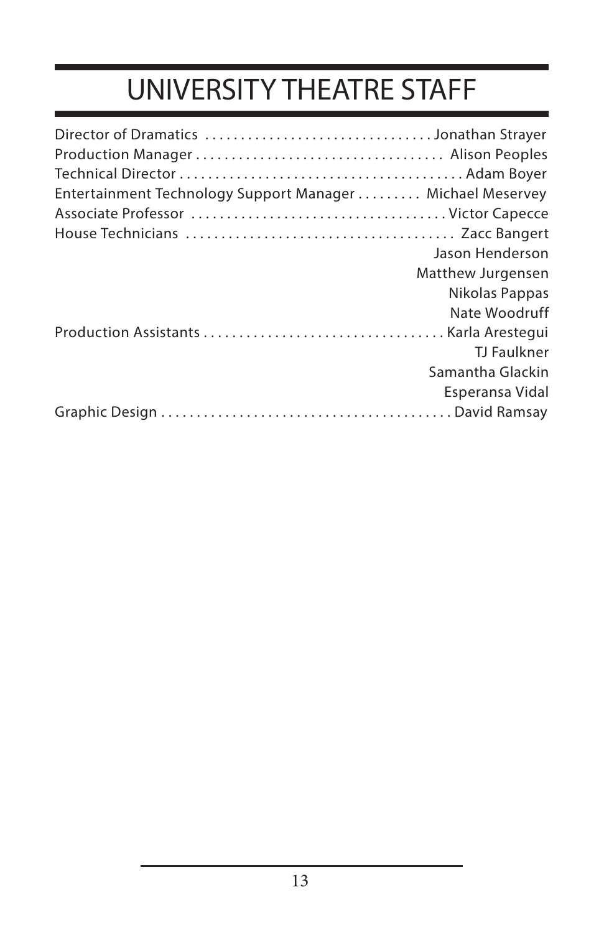# UNIVERSITY THEATRE STAFF

| Entertainment Technology Support Manager Michael Meservey |                   |
|-----------------------------------------------------------|-------------------|
|                                                           |                   |
|                                                           |                   |
|                                                           | Jason Henderson   |
|                                                           |                   |
|                                                           | Matthew Jurgensen |
|                                                           | Nikolas Pappas    |
|                                                           | Nate Woodruff     |
|                                                           |                   |
|                                                           | TJ Faulkner       |
|                                                           | Samantha Glackin  |
|                                                           | Esperansa Vidal   |
|                                                           |                   |
|                                                           |                   |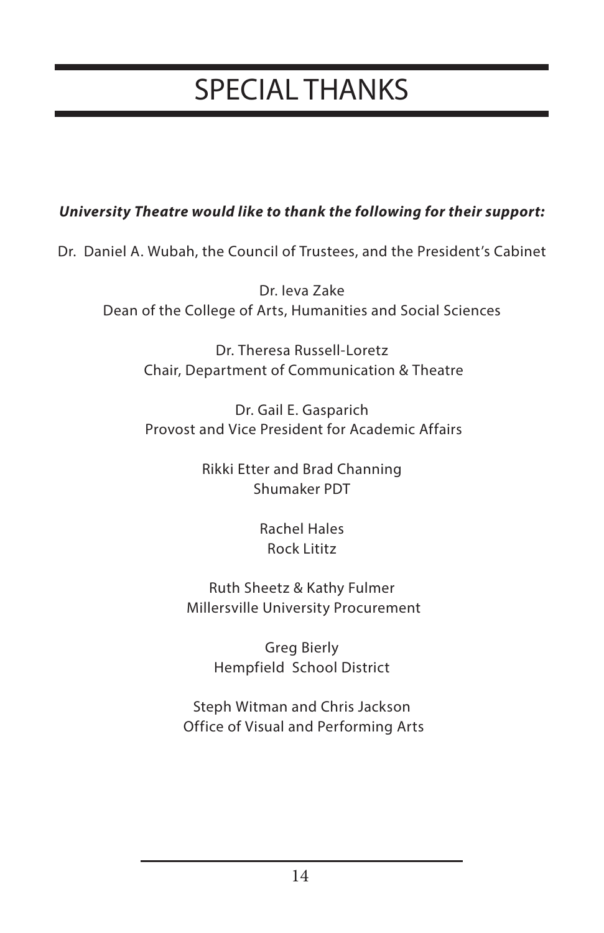### SPECIAL THANKS

#### *University Theatre would like to thank the following for their support:*

Dr. Daniel A. Wubah, the Council of Trustees, and the President's Cabinet

Dr. Ieva Zake Dean of the College of Arts, Humanities and Social Sciences

> Dr. Theresa Russell-Loretz Chair, Department of Communication & Theatre

> Dr. Gail E. Gasparich Provost and Vice President for Academic Affairs

> > Rikki Etter and Brad Channing Shumaker PDT

> > > Rachel Hales Rock Lititz

Ruth Sheetz & Kathy Fulmer Millersville University Procurement

> Greg Bierly Hempfield School District

Steph Witman and Chris Jackson Office of Visual and Performing Arts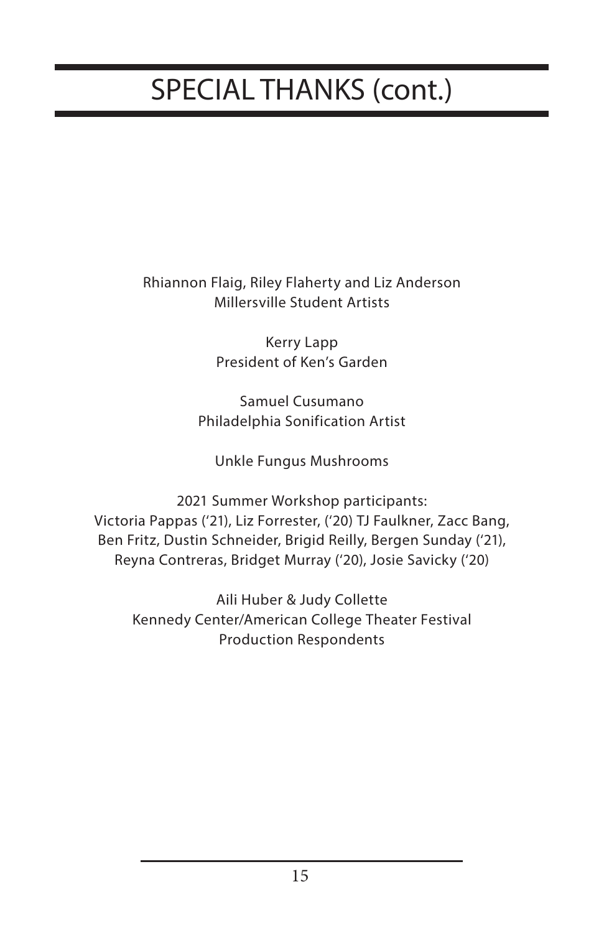# SPECIAL THANKS (cont.)

Rhiannon Flaig, Riley Flaherty and Liz Anderson Millersville Student Artists

> Kerry Lapp President of Ken's Garden

Samuel Cusumano Philadelphia Sonification Artist

Unkle Fungus Mushrooms

2021 Summer Workshop participants: Victoria Pappas ('21), Liz Forrester, ('20) TJ Faulkner, Zacc Bang, Ben Fritz, Dustin Schneider, Brigid Reilly, Bergen Sunday ('21), Reyna Contreras, Bridget Murray ('20), Josie Savicky ('20)

Aili Huber & Judy Collette Kennedy Center/American College Theater Festival Production Respondents